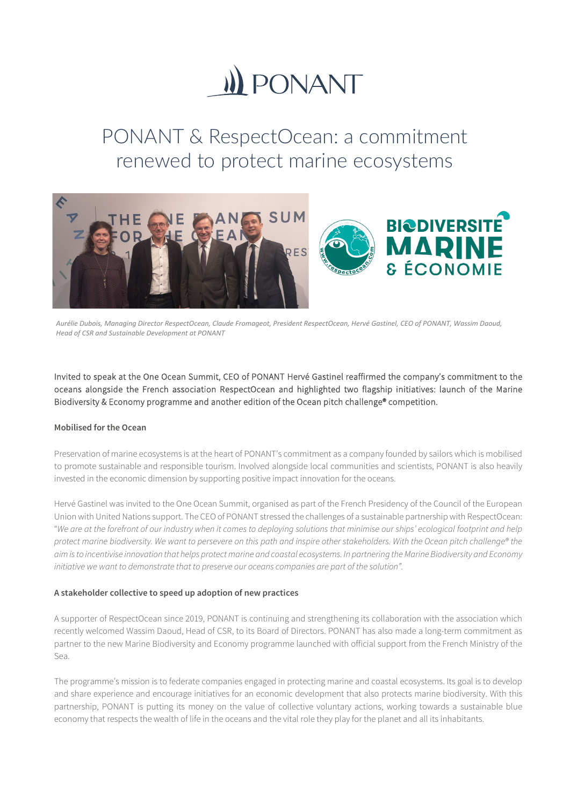# **II) PONANT**

# PONANT & RespectOcean: a commitment renewed to protect marine ecosystems



*Aurélie Dubois, Managing Director RespectOcean, Claude Fromageot, President RespectOcean, Hervé Gastinel, CEO of PONANT, Wassim Daoud, Head of CSR and Sustainable Development at PONANT*

Invited to speak at the One Ocean Summit, CEO of PONANT Hervé Gastinel reaffirmed the company's commitment to the oceans alongside the French association RespectOcean and highlighted two flagship initiatives: launch of the Marine Biodiversity & Economy programme and another edition of the Ocean pitch challenge® competition.

# **Mobilised for the Ocean**

Preservation of marine ecosystems is at the heart of PONANT's commitment as a company founded by sailors which is mobilised to promote sustainable and responsible tourism. Involved alongside local communities and scientists, PONANT is also heavily invested in the economic dimension by supporting positive impact innovation for the oceans.

Hervé Gastinel was invited to the One Ocean Summit, organised as part of the French Presidency of the Council of the European Union with United Nations support. The CEO of PONANT stressed the challenges of a sustainable partnership with RespectOcean: "*We are at the forefront of our industry when it comes to deploying solutions that minimise our ships' ecological footprint and help protect marine biodiversity. We want to persevere on this path and inspire other stakeholders. With the Ocean pitch challenge® the aim is to incentivise innovation that helps protect marine and coastal ecosystems. In partnering the Marine Biodiversity and Economy initiative we want to demonstrate that to preserve our oceans companies are part of the solution".* 

# **A stakeholder collective to speed up adoption of new practices**

A supporter of RespectOcean since 2019, PONANT is continuing and strengthening its collaboration with the association which recently welcomed Wassim Daoud, Head of CSR, to its Board of Directors. PONANT has also made a long-term commitment as partner to the new Marine Biodiversity and Economy programme launched with official support from the French Ministry of the Sea.

The programme's mission is to federate companies engaged in protecting marine and coastal ecosystems. Its goal is to develop and share experience and encourage initiatives for an economic development that also protects marine biodiversity. With this partnership, PONANT is putting its money on the value of collective voluntary actions, working towards a sustainable blue economy that respects the wealth of life in the oceans and the vital role they play for the planet and all its inhabitants.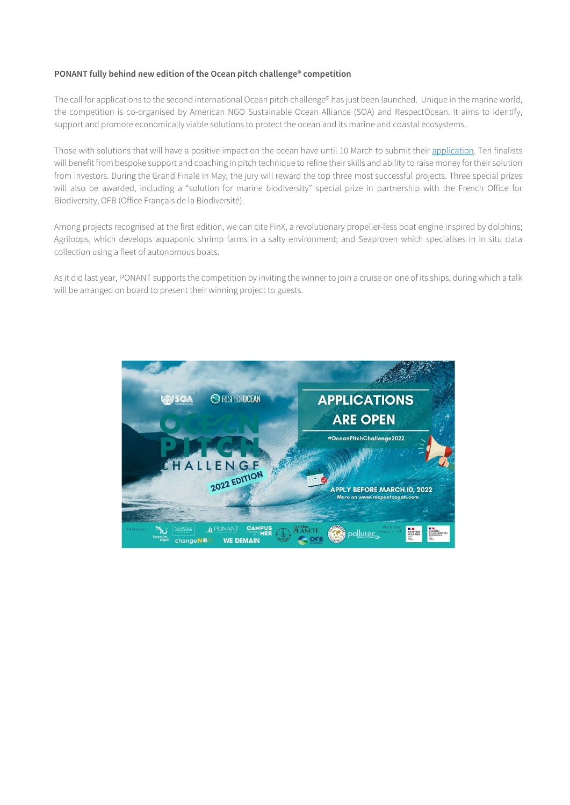### **PONANT fully behind new edition of the Ocean pitch challenge® competition**

The call for applications to the second international Ocean pitch challenge® has just been launched. Unique in the marine world, the competition is co-organised by American NGO Sustainable Ocean Alliance (SOA) and RespectOcean. It aims to identify, support and promote economically viable solutions to protect the ocean and its marine and coastal ecosystems.

Those with solutions that will have a positive impact on the ocean have until 10 March to submit their [application.](https://www.respectocean.com/concours-ocean-pitch-challenge-2022/) Ten finalists will benefit from bespoke support and coaching in pitch technique to refine their skills and ability to raise money for their solution from investors. During the Grand Finale in May, the jury will reward the top three most successful projects. Three special prizes will also be awarded, including a "solution for marine biodiversity" special prize in partnership with the French Office for Biodiversity, OFB (Office Français de la Biodiversité).

Among projects recognised at the first edition, we can cite FinX, a revolutionary propeller-less boat engine inspired by dolphins; Agriloops, which develops aquaponic shrimp farms in a salty environment; and Seaproven which specialises in in situ data collection using a fleet of autonomous boats.

As it did last year, PONANT supports the competition by inviting the winner to join a cruise on one of its ships, during which a talk will be arranged on board to present their winning project to guests.